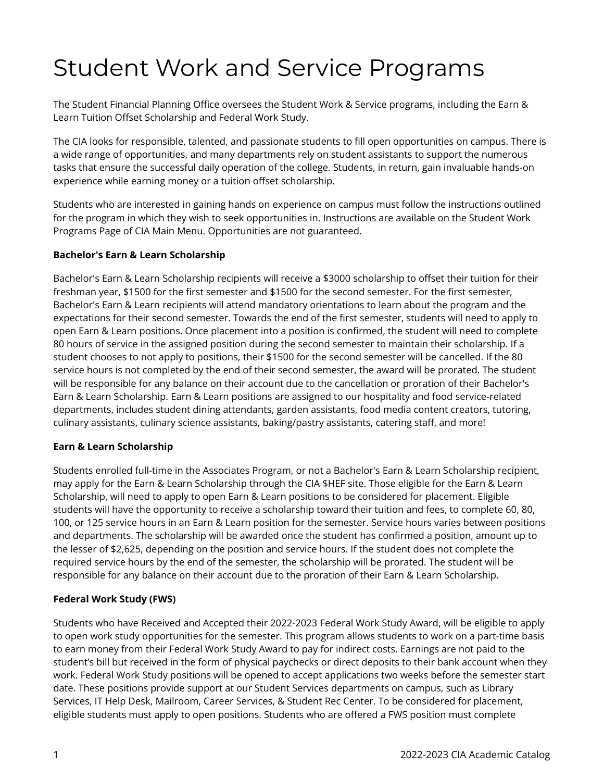## Student Work and Service Programs

The Student Financial Planning Office oversees the Student Work & Service programs, including the Earn & Learn Tuition Offset Scholarship and Federal Work Study.

The CIA looks for responsible, talented, and passionate students to fill open opportunities on campus. There is a wide range of opportunities, and many departments rely on student assistants to support the numerous tasks that ensure the successful daily operation of the college. Students, in return, gain invaluable hands-on experience while earning money or a tuition offset scholarship.

Students who are interested in gaining hands on experience on campus must follow the instructions outlined for the program in which they wish to seek opportunities in. Instructions are available on the Student Work Programs Page of CIA Main Menu. Opportunities are not guaranteed.

## **Bachelor's Earn & Learn Scholarship**

Bachelor's Earn & Learn Scholarship recipients will receive a \$3000 scholarship to offset their tuition for their freshman year, \$1500 for the first semester and \$1500 for the second semester. For the first semester, Bachelor's Earn & Learn recipients will attend mandatory orientations to learn about the program and the expectations for their second semester. Towards the end of the first semester, students will need to apply to open Earn & Learn positions. Once placement into a position is confirmed, the student will need to complete 80 hours of service in the assigned position during the second semester to maintain their scholarship. If a student chooses to not apply to positions, their \$1500 for the second semester will be cancelled. If the 80 service hours is not completed by the end of their second semester, the award will be prorated. The student will be responsible for any balance on their account due to the cancellation or proration of their Bachelor's Earn & Learn Scholarship. Earn & Learn positions are assigned to our hospitality and food service-related departments, includes student dining attendants, garden assistants, food media content creators, tutoring, culinary assistants, culinary science assistants, baking/pastry assistants, catering staff, and more!

## **Earn & Learn Scholarship**

Students enrolled full-time in the Associates Program, or not a Bachelor's Earn & Learn Scholarship recipient, may apply for the Earn & Learn Scholarship through the CIA \$HEF site. Those eligible for the Earn & Learn Scholarship, will need to apply to open Earn & Learn positions to be considered for placement. Eligible students will have the opportunity to receive a scholarship toward their tuition and fees, to complete 60, 80, 100, or 125 service hours in an Earn & Learn position for the semester. Service hours varies between positions and departments. The scholarship will be awarded once the student has confirmed a position, amount up to the lesser of \$2,625, depending on the position and service hours. If the student does not complete the required service hours by the end of the semester, the scholarship will be prorated. The student will be responsible for any balance on their account due to the proration of their Earn & Learn Scholarship.

## **Federal Work Study (FWS)**

Students who have Received and Accepted their 2022-2023 Federal Work Study Award, will be eligible to apply to open work study opportunities for the semester. This program allows students to work on a part-time basis to earn money from their Federal Work Study Award to pay for indirect costs. Earnings are not paid to the student's bill but received in the form of physical paychecks or direct deposits to their bank account when they work. Federal Work Study positions will be opened to accept applications two weeks before the semester start date. These positions provide support at our Student Services departments on campus, such as Library Services, IT Help Desk, Mailroom, Career Services, & Student Rec Center. To be considered for placement, eligible students must apply to open positions. Students who are offered a FWS position must complete